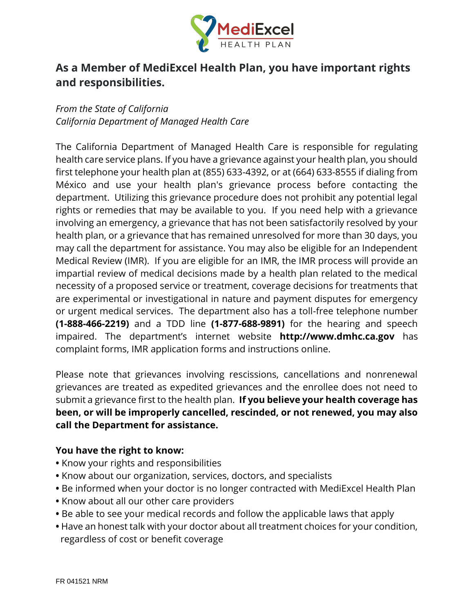

# **As a Member of MediExcel Health Plan, you have important rights and responsibilities.**

*From the State of California California Department of Managed Health Care*

The California Department of Managed Health Care is responsible for regulating health care service plans. If you have a grievance against your health plan, you should first telephone your health plan at (855) 633-4392, or at (664) 633-8555 if dialing from México and use your health plan's grievance process before contacting the department. Utilizing this grievance procedure does not prohibit any potential legal rights or remedies that may be available to you. If you need help with a grievance involving an emergency, a grievance that has not been satisfactorily resolved by your health plan, or a grievance that has remained unresolved for more than 30 days, you may call the department for assistance. You may also be eligible for an Independent Medical Review (IMR). If you are eligible for an IMR, the IMR process will provide an impartial review of medical decisions made by a health plan related to the medical necessity of a proposed service or treatment, coverage decisions for treatments that are experimental or investigational in nature and payment disputes for emergency or urgent medical services. The department also has a toll-free telephone number **(1-888-466-2219)** and a TDD line **(1-877-688-9891)** for the hearing and speech impaired. The department's internet website **http://www.dmhc.ca.gov** has complaint forms, IMR application forms and instructions online.

Please note that grievances involving rescissions, cancellations and nonrenewal grievances are treated as expedited grievances and the enrollee does not need to submit a grievance first to the health plan. **If you believe your health coverage has been, or will be improperly cancelled, rescinded, or not renewed, you may also call the Department for assistance.**

#### **You have the right to know:**

- **•** Know your rights and responsibilities
- **•** Know about our organization, services, doctors, and specialists
- **•** Be informed when your doctor is no longer contracted with MediExcel Health Plan
- **•** Know about all our other care providers
- **•** Be able to see your medical records and follow the applicable laws that apply
- **•** Have an honest talk with your doctor about all treatment choices for your condition, regardless of cost or benefit coverage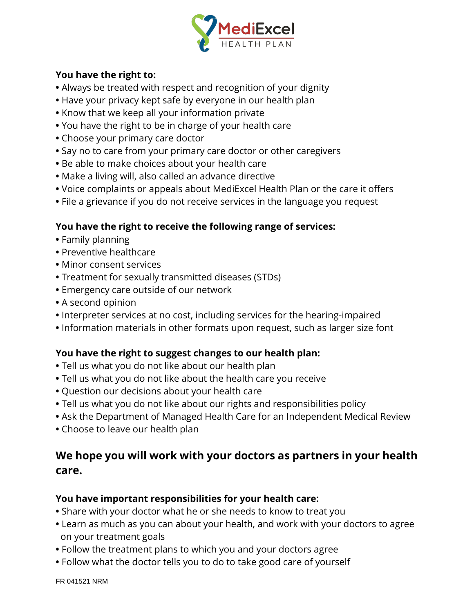

### **You have the right to:**

- **•** Always be treated with respect and recognition of your dignity
- **•** Have your privacy kept safe by everyone in our health plan
- **•** Know that we keep all your information private
- **•** You have the right to be in charge of your health care
- **•** Choose your primary care doctor
- **•** Say no to care from your primary care doctor or other caregivers
- **•** Be able to make choices about your health care
- **•** Make a living will, also called an advance directive
- **•** Voice complaints or appeals about MediExcel Health Plan or the care it offers
- **•** File a grievance if you do not receive services in the language you request

## **You have the right to receive the following range of services:**

- **•** Family planning
- **•** Preventive healthcare
- **•** Minor consent services
- **•** Treatment for sexually transmitted diseases (STDs)
- **•** Emergency care outside of our network
- **•** A second opinion
- **•** Interpreter services at no cost, including services for the hearing-impaired
- **•** Information materials in other formats upon request, such as larger size font

## **You have the right to suggest changes to our health plan:**

- **•** Tell us what you do not like about our health plan
- **•** Tell us what you do not like about the health care you receive
- **•** Question our decisions about your health care
- **•** Tell us what you do not like about our rights and responsibilities policy
- **•** Ask the Department of Managed Health Care for an Independent Medical Review
- **•** Choose to leave our health plan

# **We hope you will work with your doctors as partners in your health care.**

### **You have important responsibilities for your health care:**

- **•** Share with your doctor what he or she needs to know to treat you
- **•** Learn as much as you can about your health, and work with your doctors to agree on your treatment goals
- **•** Follow the treatment plans to which you and your doctors agree
- **•** Follow what the doctor tells you to do to take good care of yourself